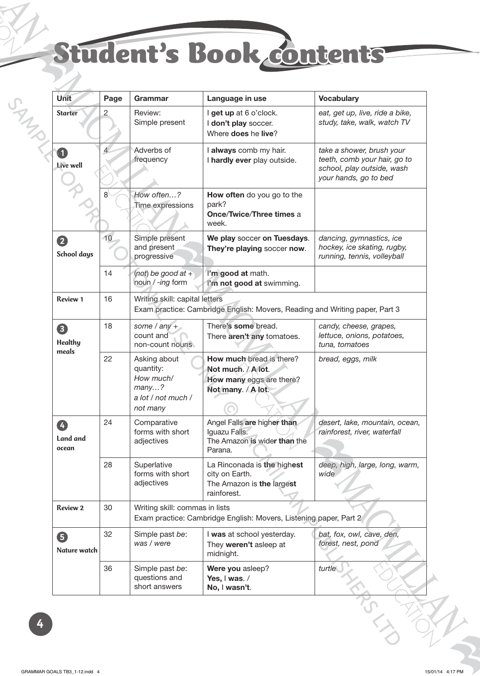## Student's Book contents

| <b>Unit</b>                  | Page           | Grammar                                                                                                       | Language in use                                                                                  | <b>Vocabulary</b>                                                                                                |  |  |
|------------------------------|----------------|---------------------------------------------------------------------------------------------------------------|--------------------------------------------------------------------------------------------------|------------------------------------------------------------------------------------------------------------------|--|--|
| <b>Starter</b>               | $\overline{2}$ | Review:<br>Simple present                                                                                     | I get up at 6 o'clock.<br>I don't play soccer.<br>Where <b>does</b> he live?                     | eat, get up, live, ride a bike,<br>study, take, walk, watch TV                                                   |  |  |
| $\blacksquare$<br>Live well  | $\overline{4}$ | Adverbs of<br>frequency                                                                                       | I always comb my hair.<br>I hardly ever play outside.                                            | take a shower, brush your<br>teeth, comb your hair, go to<br>school, play outside, wash<br>your hands, go to bed |  |  |
|                              | 8              | How often?<br>Time expressions                                                                                | How often do you go to the<br>park?<br><b>Once/Twice/Three times a</b><br>week.                  |                                                                                                                  |  |  |
| 2<br><b>School days</b>      | 10             | Simple present<br>and present<br>progressive                                                                  | We play soccer on Tuesdays.<br>They're playing soccer now.                                       | dancing, gymnastics, ice<br>hockey, ice skating, rugby,<br>running, tennis, volleyball                           |  |  |
|                              | 14             | (not) be good at $+$<br>noun / -ing form                                                                      | I'm good at math.<br>I'm not good at swimming.                                                   |                                                                                                                  |  |  |
| <b>Review 1</b>              | 16             | Writing skill: capital letters<br>Exam practice: Cambridge English: Movers, Reading and Writing paper, Part 3 |                                                                                                  |                                                                                                                  |  |  |
| 8<br><b>Healthy</b><br>meals | 18             | some $/$ any $+$<br>count and<br>non-count nouns                                                              | There's some bread.<br>There aren't any tomatoes.                                                | candy, cheese, grapes,<br>lettuce, onions, potatoes,<br>tuna, tomatoes                                           |  |  |
|                              | 22             | Asking about<br>quantity:<br>How much/<br>many?<br>a lot / not much /<br>not many                             | How much bread is there?<br>Not much. / A lot.<br>How many eggs are there?<br>Not many. / A lot. | bread, eggs, milk                                                                                                |  |  |
| 4<br>Land and<br>ocean       | 24             | Comparative<br>forms with short<br>adjectives                                                                 | Angel Falls are higher than<br>Iguazu Falls.<br>The Amazon is wider than the<br>Parana.          | desert, lake, mountain, ocean,<br>rainforest, river, waterfall                                                   |  |  |
|                              | 28             | Superlative<br>forms with short<br>adjectives                                                                 | La Rinconada is the highest<br>city on Earth.<br>The Amazon is the largest<br>rainforest.        | deep, high, large, long, warm,<br>wide                                                                           |  |  |
| <b>Review 2</b>              | 30             | Writing skill: commas in lists<br>Exam practice: Cambridge English: Movers, Listening paper, Part 2           |                                                                                                  |                                                                                                                  |  |  |
| 6<br>Nature watch            | 32             | Simple past be:<br>was / were                                                                                 | I was at school yesterday.<br>They weren't asleep at<br>midnight.                                | bat, fox, owl, cave, den,<br>forest, nest, pond                                                                  |  |  |
|                              | 36             | Simple past be:<br>questions and<br>short answers                                                             | Were you asleep?<br>Yes, I was. /<br>No, I wasn't.                                               | turtle                                                                                                           |  |  |